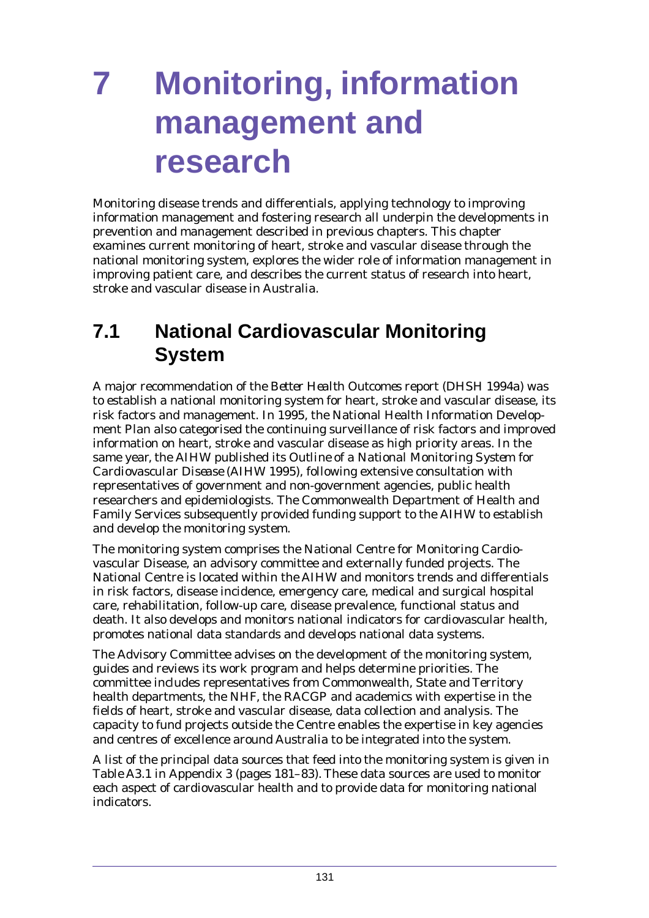Monitoring disease trends and differentials, applying technology to improving information management and fostering research all underpin the developments in prevention and management described in previous chapters. This chapter examines current monitoring of heart, stroke and vascular disease through the national monitoring system, explores the wider role of information management in improving patient care, and describes the current status of research into heart, stroke and vascular disease in Australia.

# **7.1 National Cardiovascular Monitoring System**

A major recommendation of the *Better Health Outcomes* report (DHSH 1994a) was to establish a national monitoring system for heart, stroke and vascular disease, its risk factors and management. In 1995, the National Health Information Development Plan also categorised the continuing surveillance of risk factors and improved information on heart, stroke and vascular disease as high priority areas. In the same year, the AIHW published its *Outline of a National Monitoring System for Cardiovascular Disease* (AIHW 1995), following extensive consultation with representatives of government and non-government agencies, public health researchers and epidemiologists. The Commonwealth Department of Health and Family Services subsequently provided funding support to the AIHW to establish and develop the monitoring system.

The monitoring system comprises the National Centre for Monitoring Cardiovascular Disease, an advisory committee and externally funded projects. The National Centre is located within the AIHW and monitors trends and differentials in risk factors, disease incidence, emergency care, medical and surgical hospital care, rehabilitation, follow-up care, disease prevalence, functional status and death. It also develops and monitors national indicators for cardiovascular health, promotes national data standards and develops national data systems.

The Advisory Committee advises on the development of the monitoring system, guides and reviews its work program and helps determine priorities. The committee includes representatives from Commonwealth, State and Territory health departments, the NHF, the RACGP and academics with expertise in the fields of heart, stroke and vascular disease, data collection and analysis. The capacity to fund projects outside the Centre enables the expertise in key agencies and centres of excellence around Australia to be integrated into the system.

A list of the principal data sources that feed into the monitoring system is given in Table A3.1 in Appendix 3 (pages 181–83). These data sources are used to monitor each aspect of cardiovascular health and to provide data for monitoring national indicators.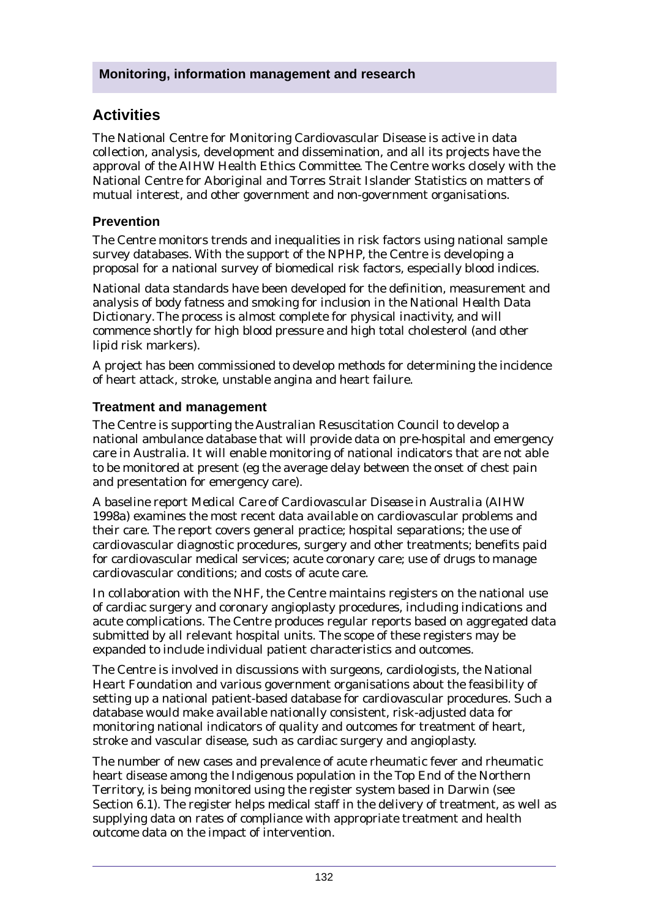# **Activities**

The National Centre for Monitoring Cardiovascular Disease is active in data collection, analysis, development and dissemination, and all its projects have the approval of the AIHW Health Ethics Committee. The Centre works closely with the National Centre for Aboriginal and Torres Strait Islander Statistics on matters of mutual interest, and other government and non-government organisations.

#### **Prevention**

The Centre monitors trends and inequalities in risk factors using national sample survey databases. With the support of the NPHP, the Centre is developing a proposal for a national survey of biomedical risk factors, especially blood indices.

National data standards have been developed for the definition, measurement and analysis of body fatness and smoking for inclusion in the *National Health Data Dictionary*. The process is almost complete for physical inactivity, and will commence shortly for high blood pressure and high total cholesterol (and other lipid risk markers).

A project has been commissioned to develop methods for determining the incidence of heart attack, stroke, unstable angina and heart failure.

#### **Treatment and management**

The Centre is supporting the Australian Resuscitation Council to develop a national ambulance database that will provide data on pre-hospital and emergency care in Australia. It will enable monitoring of national indicators that are not able to be monitored at present (eg the average delay between the onset of chest pain and presentation for emergency care).

A baseline report *Medical Care of Cardiovascular Disease in Australia* (AIHW 1998a) examines the most recent data available on cardiovascular problems and their care. The report covers general practice; hospital separations; the use of cardiovascular diagnostic procedures, surgery and other treatments; benefits paid for cardiovascular medical services; acute coronary care; use of drugs to manage cardiovascular conditions; and costs of acute care.

In collaboration with the NHF, the Centre maintains registers on the national use of cardiac surgery and coronary angioplasty procedures, including indications and acute complications. The Centre produces regular reports based on aggregated data submitted by all relevant hospital units. The scope of these registers may be expanded to include individual patient characteristics and outcomes.

The Centre is involved in discussions with surgeons, cardiologists, the National Heart Foundation and various government organisations about the feasibility of setting up a national patient-based database for cardiovascular procedures. Such a database would make available nationally consistent, risk-adjusted data for monitoring national indicators of quality and outcomes for treatment of heart, stroke and vascular disease, such as cardiac surgery and angioplasty.

The number of new cases and prevalence of acute rheumatic fever and rheumatic heart disease among the Indigenous population in the Top End of the Northern Territory, is being monitored using the register system based in Darwin (see Section 6.1). The register helps medical staff in the delivery of treatment, as well as supplying data on rates of compliance with appropriate treatment and health outcome data on the impact of intervention.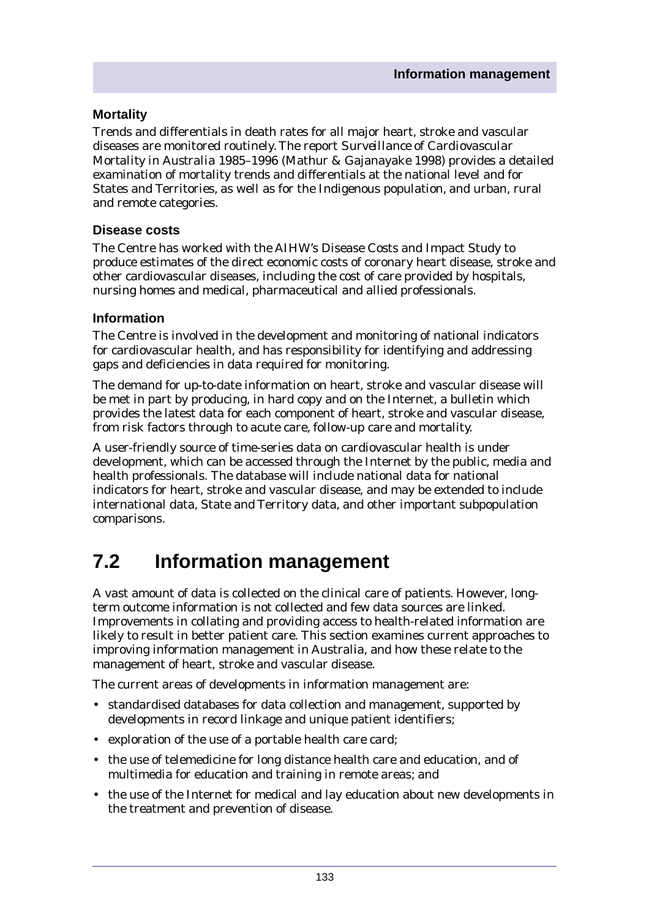#### **Mortality**

Trends and differentials in death rates for all major heart, stroke and vascular diseases are monitored routinely. The report *Surveillance of Cardiovascular Mortality in Australia 1985–1996* (Mathur & Gajanayake 1998) provides a detailed examination of mortality trends and differentials at the national level and for States and Territories, as well as for the Indigenous population, and urban, rural and remote categories.

#### **Disease costs**

The Centre has worked with the AIHW's Disease Costs and Impact Study to produce estimates of the direct economic costs of coronary heart disease, stroke and other cardiovascular diseases, including the cost of care provided by hospitals, nursing homes and medical, pharmaceutical and allied professionals.

#### **Information**

The Centre is involved in the development and monitoring of national indicators for cardiovascular health, and has responsibility for identifying and addressing gaps and deficiencies in data required for monitoring.

The demand for up-to-date information on heart, stroke and vascular disease will be met in part by producing, in hard copy and on the Internet, a bulletin which provides the latest data for each component of heart, stroke and vascular disease, from risk factors through to acute care, follow-up care and mortality.

A user-friendly source of time-series data on cardiovascular health is under development, which can be accessed through the Internet by the public, media and health professionals. The database will include national data for national indicators for heart, stroke and vascular disease, and may be extended to include international data, State and Territory data, and other important subpopulation comparisons.

# **7.2 Information management**

A vast amount of data is collected on the clinical care of patients. However, longterm outcome information is not collected and few data sources are linked. Improvements in collating and providing access to health-related information are likely to result in better patient care. This section examines current approaches to improving information management in Australia, and how these relate to the management of heart, stroke and vascular disease.

The current areas of developments in information management are:

- standardised databases for data collection and management, supported by developments in record linkage and unique patient identifiers;
- exploration of the use of a portable health care card;
- the use of telemedicine for long distance health care and education, and of multimedia for education and training in remote areas; and
- the use of the Internet for medical and lay education about new developments in the treatment and prevention of disease.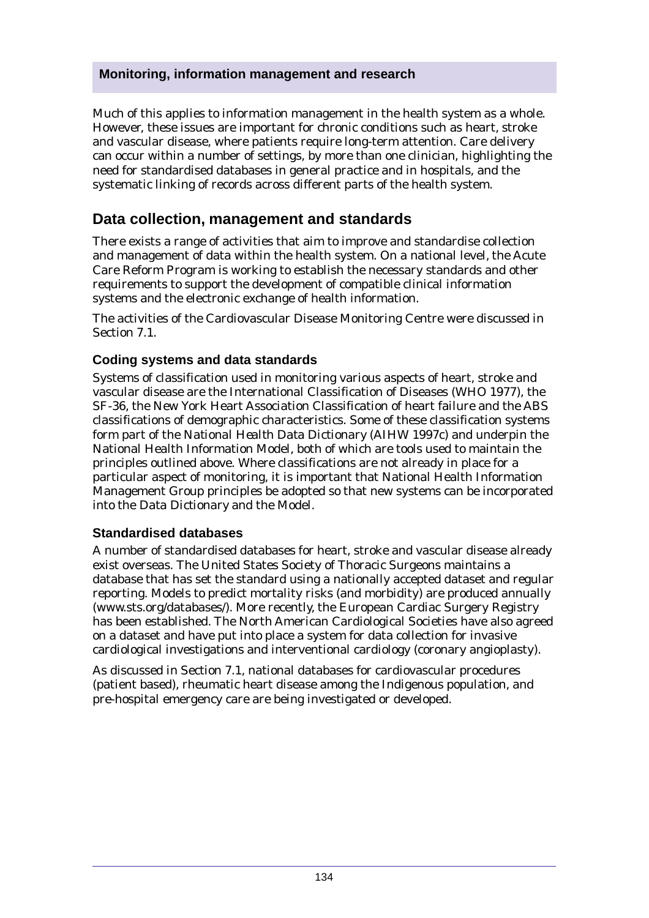Much of this applies to information management in the health system as a whole. However, these issues are important for chronic conditions such as heart, stroke and vascular disease, where patients require long-term attention. Care delivery can occur within a number of settings, by more than one clinician, highlighting the need for standardised databases in general practice and in hospitals, and the systematic linking of records across different parts of the health system.

## **Data collection, management and standards**

There exists a range of activities that aim to improve and standardise collection and management of data within the health system. On a national level, the Acute Care Reform Program is working to establish the necessary standards and other requirements to support the development of compatible clinical information systems and the electronic exchange of health information.

The activities of the Cardiovascular Disease Monitoring Centre were discussed in Section 7.1.

#### **Coding systems and data standards**

Systems of classification used in monitoring various aspects of heart, stroke and vascular disease are the International Classification of Diseases (WHO 1977), the SF-36, the New York Heart Association Classification of heart failure and the ABS classifications of demographic characteristics. Some of these classification systems form part of the *National Health Data Dictionary* (AIHW 1997c) and underpin the National Health Information Model, both of which are tools used to maintain the principles outlined above. Where classifications are not already in place for a particular aspect of monitoring, it is important that National Health Information Management Group principles be adopted so that new systems can be incorporated into the *Data Dictionary* and the Model.

#### **Standardised databases**

A number of standardised databases for heart, stroke and vascular disease already exist overseas. The United States Society of Thoracic Surgeons maintains a database that has set the standard using a nationally accepted dataset and regular reporting. Models to predict mortality risks (and morbidity) are produced annually (www.sts.org/databases/). More recently, the European Cardiac Surgery Registry has been established. The North American Cardiological Societies have also agreed on a dataset and have put into place a system for data collection for invasive cardiological investigations and interventional cardiology (coronary angioplasty).

As discussed in Section 7.1, national databases for cardiovascular procedures (patient based), rheumatic heart disease among the Indigenous population, and pre-hospital emergency care are being investigated or developed.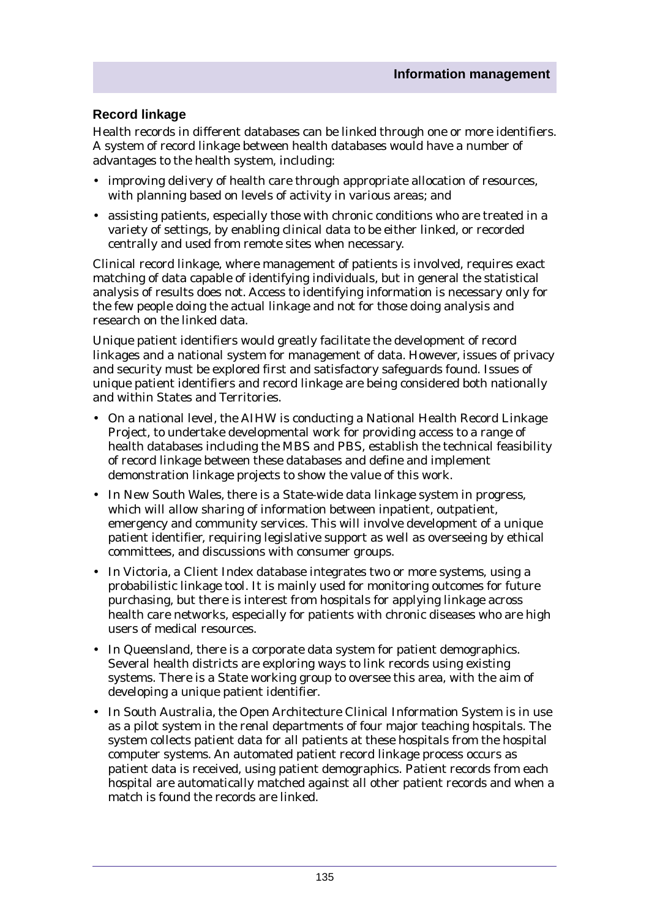#### **Record linkage**

Health records in different databases can be linked through one or more identifiers. A system of record linkage between health databases would have a number of advantages to the health system, including:

- improving delivery of health care through appropriate allocation of resources, with planning based on levels of activity in various areas; and
- assisting patients, especially those with chronic conditions who are treated in a variety of settings, by enabling clinical data to be either linked, or recorded centrally and used from remote sites when necessary.

Clinical record linkage, where management of patients is involved, requires exact matching of data capable of identifying individuals, but in general the statistical analysis of results does not. Access to identifying information is necessary only for the few people doing the actual linkage and not for those doing analysis and research on the linked data.

Unique patient identifiers would greatly facilitate the development of record linkages and a national system for management of data. However, issues of privacy and security must be explored first and satisfactory safeguards found. Issues of unique patient identifiers and record linkage are being considered both nationally and within States and Territories.

- On a national level, the AIHW is conducting a National Health Record Linkage Project, to undertake developmental work for providing access to a range of health databases including the MBS and PBS, establish the technical feasibility of record linkage between these databases and define and implement demonstration linkage projects to show the value of this work.
- In New South Wales, there is a State-wide data linkage system in progress, which will allow sharing of information between inpatient, outpatient, emergency and community services. This will involve development of a unique patient identifier, requiring legislative support as well as overseeing by ethical committees, and discussions with consumer groups.
- In Victoria, a Client Index database integrates two or more systems, using a probabilistic linkage tool. It is mainly used for monitoring outcomes for future purchasing, but there is interest from hospitals for applying linkage across health care networks, especially for patients with chronic diseases who are high users of medical resources.
- In Queensland, there is a corporate data system for patient demographics. Several health districts are exploring ways to link records using existing systems. There is a State working group to oversee this area, with the aim of developing a unique patient identifier.
- In South Australia, the Open Architecture Clinical Information System is in use as a pilot system in the renal departments of four major teaching hospitals. The system collects patient data for all patients at these hospitals from the hospital computer systems. An automated patient record linkage process occurs as patient data is received, using patient demographics. Patient records from each hospital are automatically matched against all other patient records and when a match is found the records are linked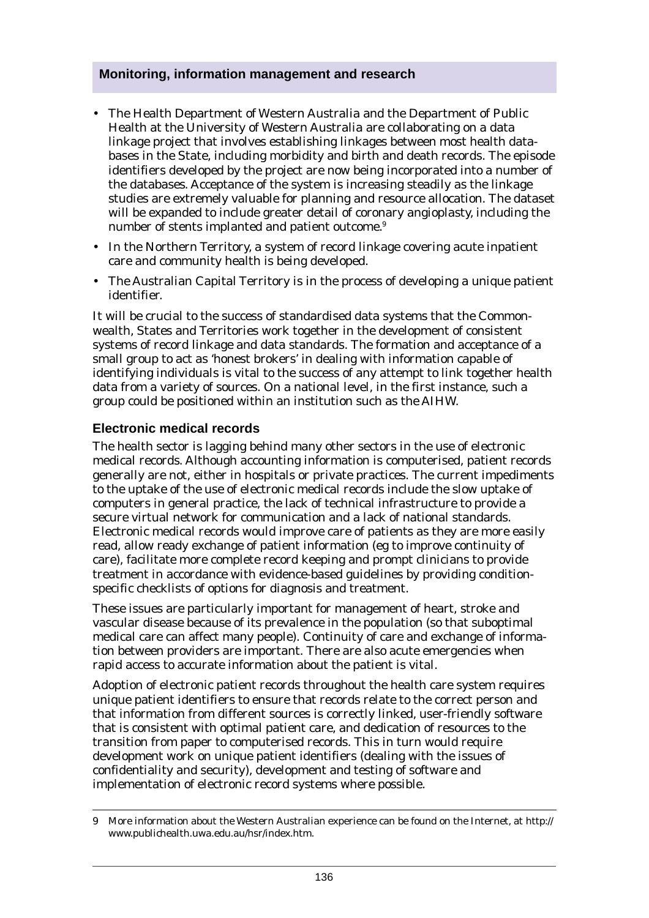- The Health Department of Western Australia and the Department of Public Health at the University of Western Australia are collaborating on a data linkage project that involves establishing linkages between most health databases in the State, including morbidity and birth and death records. The episode identifiers developed by the project are now being incorporated into a number of the databases. Acceptance of the system is increasing steadily as the linkage studies are extremely valuable for planning and resource allocation. The dataset will be expanded to include greater detail of coronary angioplasty, including the number of stents implanted and patient outcome.<sup>9</sup>
- In the Northern Territory, a system of record linkage covering acute inpatient care and community health is being developed.
- The Australian Capital Territory is in the process of developing a unique patient identifier.

It will be crucial to the success of standardised data systems that the Commonwealth, States and Territories work together in the development of consistent systems of record linkage and data standards. The formation and acceptance of a small group to act as 'honest brokers' in dealing with information capable of identifying individuals is vital to the success of any attempt to link together health data from a variety of sources. On a national level, in the first instance, such a group could be positioned within an institution such as the AIHW.

#### **Electronic medical records**

The health sector is lagging behind many other sectors in the use of electronic medical records. Although accounting information is computerised, patient records generally are not, either in hospitals or private practices. The current impediments to the uptake of the use of electronic medical records include the slow uptake of computers in general practice, the lack of technical infrastructure to provide a secure virtual network for communication and a lack of national standards. Electronic medical records would improve care of patients as they are more easily read, allow ready exchange of patient information (eg to improve continuity of care), facilitate more complete record keeping and prompt clinicians to provide treatment in accordance with evidence-based guidelines by providing conditionspecific checklists of options for diagnosis and treatment.

These issues are particularly important for management of heart, stroke and vascular disease because of its prevalence in the population (so that suboptimal medical care can affect many people). Continuity of care and exchange of information between providers are important. There are also acute emergencies when rapid access to accurate information about the patient is vital.

Adoption of electronic patient records throughout the health care system requires unique patient identifiers to ensure that records relate to the correct person and that information from different sources is correctly linked, user-friendly software that is consistent with optimal patient care, and dedication of resources to the transition from paper to computerised records. This in turn would require development work on unique patient identifiers (dealing with the issues of confidentiality and security), development and testing of software and implementation of electronic record systems where possible.

<sup>9</sup> More information about the Western Australian experience can be found on the Internet, at http:// www.publichealth.uwa.edu.au/hsr/index.htm.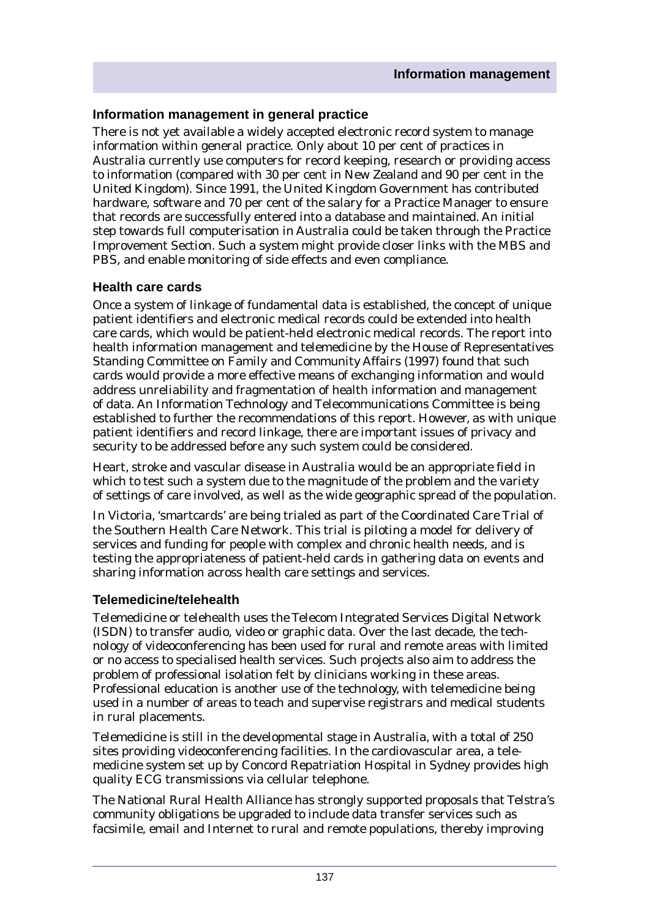#### **Information management in general practice**

There is not yet available a widely accepted electronic record system to manage information within general practice. Only about 10 per cent of practices in Australia currently use computers for record keeping, research or providing access to information (compared with 30 per cent in New Zealand and 90 per cent in the United Kingdom). Since 1991, the United Kingdom Government has contributed hardware, software and 70 per cent of the salary for a Practice Manager to ensure that records are successfully entered into a database and maintained. An initial step towards full computerisation in Australia could be taken through the Practice Improvement Section. Such a system might provide closer links with the MBS and PBS, and enable monitoring of side effects and even compliance.

#### **Health care cards**

Once a system of linkage of fundamental data is established, the concept of unique patient identifiers and electronic medical records could be extended into health care cards, which would be patient-held electronic medical records. The report into health information management and telemedicine by the House of Representatives Standing Committee on Family and Community Affairs (1997) found that such cards would provide a more effective means of exchanging information and would address unreliability and fragmentation of health information and management of data. An Information Technology and Telecommunications Committee is being established to further the recommendations of this report. However, as with unique patient identifiers and record linkage, there are important issues of privacy and security to be addressed before any such system could be considered.

Heart, stroke and vascular disease in Australia would be an appropriate field in which to test such a system due to the magnitude of the problem and the variety of settings of care involved, as well as the wide geographic spread of the population.

In Victoria, 'smartcards' are being trialed as part of the Coordinated Care Trial of the Southern Health Care Network. This trial is piloting a model for delivery of services and funding for people with complex and chronic health needs, and is testing the appropriateness of patient-held cards in gathering data on events and sharing information across health care settings and services.

#### **Telemedicine/telehealth**

Telemedicine or telehealth uses the Telecom Integrated Services Digital Network (ISDN) to transfer audio, video or graphic data. Over the last decade, the technology of videoconferencing has been used for rural and remote areas with limited or no access to specialised health services. Such projects also aim to address the problem of professional isolation felt by clinicians working in these areas. Professional education is another use of the technology, with telemedicine being used in a number of areas to teach and supervise registrars and medical students in rural placements.

Telemedicine is still in the developmental stage in Australia, with a total of 250 sites providing videoconferencing facilities. In the cardiovascular area, a telemedicine system set up by Concord Repatriation Hospital in Sydney provides high quality ECG transmissions via cellular telephone.

The National Rural Health Alliance has strongly supported proposals that Telstra's community obligations be upgraded to include data transfer services such as facsimile, email and Internet to rural and remote populations, thereby improving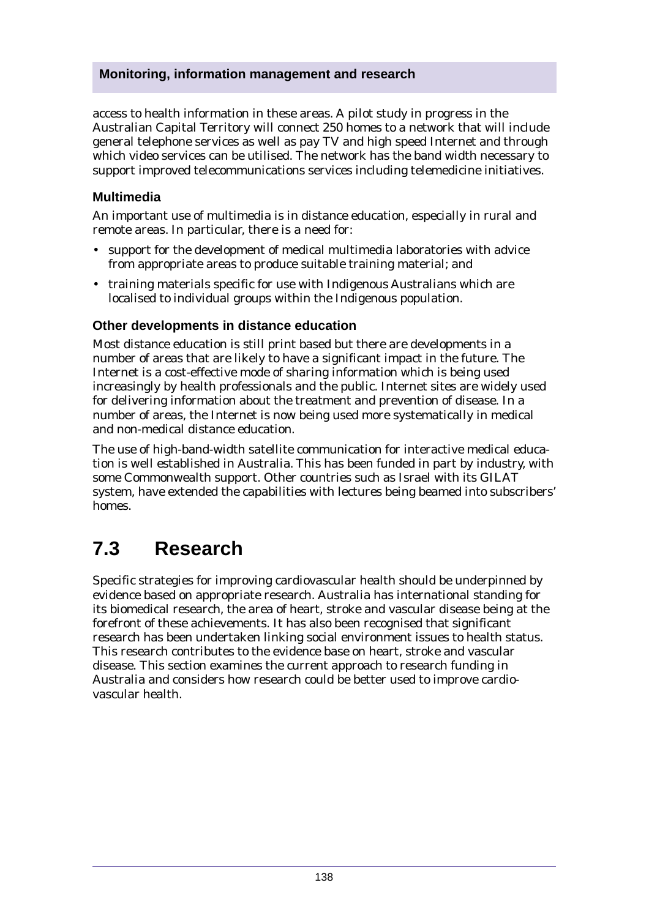access to health information in these areas. A pilot study in progress in the Australian Capital Territory will connect 250 homes to a network that will include general telephone services as well as pay TV and high speed Internet and through which video services can be utilised. The network has the band width necessary to support improved telecommunications services including telemedicine initiatives.

#### **Multimedia**

An important use of multimedia is in distance education, especially in rural and remote areas. In particular, there is a need for:

- support for the development of medical multimedia laboratories with advice from appropriate areas to produce suitable training material; and
- training materials specific for use with Indigenous Australians which are localised to individual groups within the Indigenous population.

#### **Other developments in distance education**

Most distance education is still print based but there are developments in a number of areas that are likely to have a significant impact in the future. The Internet is a cost-effective mode of sharing information which is being used increasingly by health professionals and the public. Internet sites are widely used for delivering information about the treatment and prevention of disease. In a number of areas, the Internet is now being used more systematically in medical and non-medical distance education.

The use of high-band-width satellite communication for interactive medical education is well established in Australia. This has been funded in part by industry, with some Commonwealth support. Other countries such as Israel with its GILAT system, have extended the capabilities with lectures being beamed into subscribers' homes.

# **7.3 Research**

Specific strategies for improving cardiovascular health should be underpinned by evidence based on appropriate research. Australia has international standing for its biomedical research, the area of heart, stroke and vascular disease being at the forefront of these achievements. It has also been recognised that significant research has been undertaken linking social environment issues to health status. This research contributes to the evidence base on heart, stroke and vascular disease. This section examines the current approach to research funding in Australia and considers how research could be better used to improve cardiovascular health.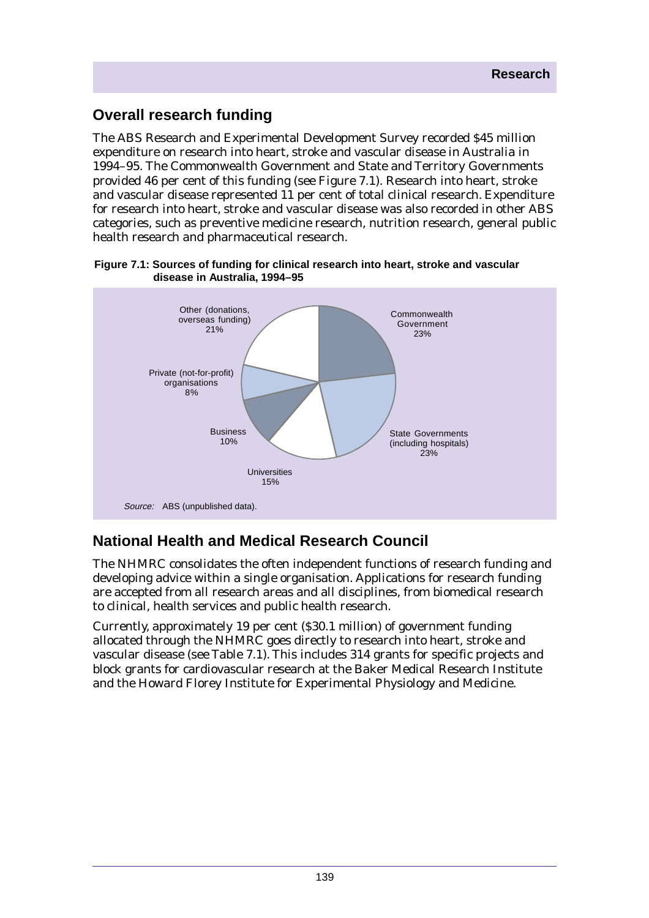# **Overall research funding**

The ABS Research and Experimental Development Survey recorded \$45 million expenditure on research into heart, stroke and vascular disease in Australia in 1994–95. The Commonwealth Government and State and Territory Governments provided 46 per cent of this funding (see Figure 7.1). Research into heart, stroke and vascular disease represented 11 per cent of total clinical research. Expenditure for research into heart, stroke and vascular disease was also recorded in other ABS categories, such as preventive medicine research, nutrition research, general public health research and pharmaceutical research.



#### **Figure 7.1: Sources of funding for clinical research into heart, stroke and vascular disease in Australia, 1994–95**

# **National Health and Medical Research Council**

The NHMRC consolidates the often independent functions of research funding and developing advice within a single organisation. Applications for research funding are accepted from all research areas and all disciplines, from biomedical research to clinical, health services and public health research.

Currently, approximately 19 per cent (\$30.1 million) of government funding allocated through the NHMRC goes directly to research into heart, stroke and vascular disease (see Table 7.1). This includes 314 grants for specific projects and block grants for cardiovascular research at the Baker Medical Research Institute and the Howard Florey Institute for Experimental Physiology and Medicine.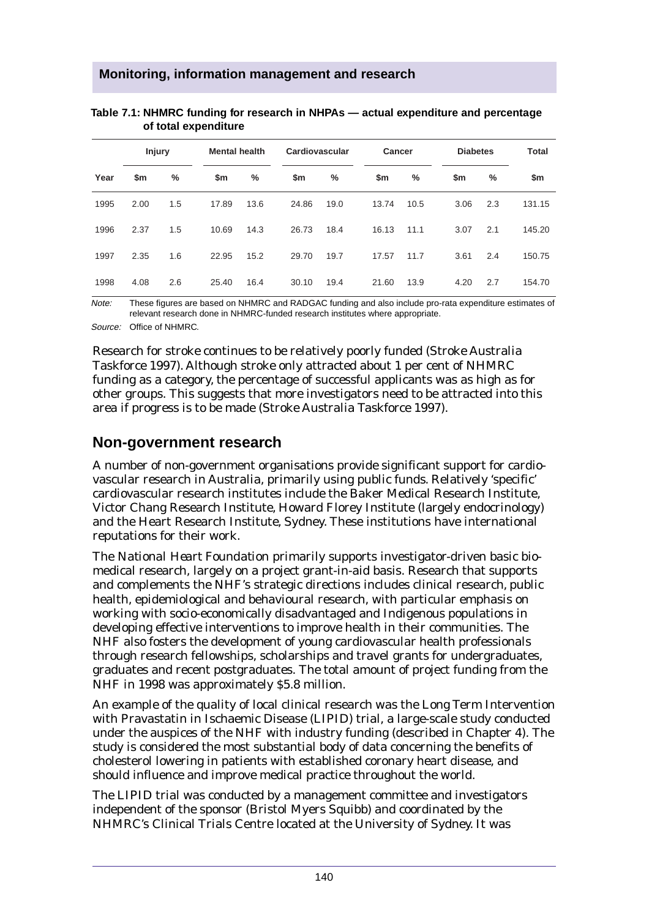|      | <b>Injury</b> |               | <b>Mental health</b> |      | Cardiovascular |      | <b>Cancer</b> |      |      | <b>Diabetes</b> |        |
|------|---------------|---------------|----------------------|------|----------------|------|---------------|------|------|-----------------|--------|
| Year | \$m           | $\frac{0}{0}$ | \$m                  | $\%$ | \$m            | %    | \$m           | %    | \$m  | $\frac{0}{0}$   | \$m    |
| 1995 | 2.00          | 1.5           | 17.89                | 13.6 | 24.86          | 19.0 | 13.74         | 10.5 | 3.06 | 2.3             | 131.15 |
| 1996 | 2.37          | 1.5           | 10.69                | 14.3 | 26.73          | 18.4 | 16.13         | 11.1 | 3.07 | 2.1             | 145.20 |
| 1997 | 2.35          | 1.6           | 22.95                | 15.2 | 29.70          | 19.7 | 17.57         | 11.7 | 3.61 | 2.4             | 150.75 |
| 1998 | 4.08          | 2.6           | 25.40                | 16.4 | 30.10          | 19.4 | 21.60         | 13.9 | 4.20 | 2.7             | 154.70 |

#### **Table 7.1: NHMRC funding for research in NHPAs — actual expenditure and percentage of total expenditure**

Note: These figures are based on NHMRC and RADGAC funding and also include pro-rata expenditure estimates of relevant research done in NHMRC-funded research institutes where appropriate.

Source: Office of NHMRC.

Research for stroke continues to be relatively poorly funded (Stroke Australia Taskforce 1997). Although stroke only attracted about 1 per cent of NHMRC funding as a category, the percentage of successful applicants was as high as for other groups. This suggests that more investigators need to be attracted into this area if progress is to be made (Stroke Australia Taskforce 1997).

## **Non-government research**

A number of non-government organisations provide significant support for cardiovascular research in Australia, primarily using public funds. Relatively 'specific' cardiovascular research institutes include the Baker Medical Research Institute, Victor Chang Research Institute, Howard Florey Institute (largely endocrinology) and the Heart Research Institute, Sydney. These institutions have international reputations for their work.

The *National Heart Foundation* primarily supports investigator-driven basic biomedical research, largely on a project grant-in-aid basis. Research that supports and complements the NHF's strategic directions includes clinical research, public health, epidemiological and behavioural research, with particular emphasis on working with socio-economically disadvantaged and Indigenous populations in developing effective interventions to improve health in their communities. The NHF also fosters the development of young cardiovascular health professionals through research fellowships, scholarships and travel grants for undergraduates, graduates and recent postgraduates. The total amount of project funding from the NHF in 1998 was approximately \$5.8 million.

An example of the quality of local clinical research was the Long Term Intervention with Pravastatin in Ischaemic Disease (LIPID) trial, a large-scale study conducted under the auspices of the NHF with industry funding (described in Chapter 4). The study is considered the most substantial body of data concerning the benefits of cholesterol lowering in patients with established coronary heart disease, and should influence and improve medical practice throughout the world.

The LIPID trial was conducted by a management committee and investigators independent of the sponsor (Bristol Myers Squibb) and coordinated by the NHMRC's Clinical Trials Centre located at the University of Sydney. It was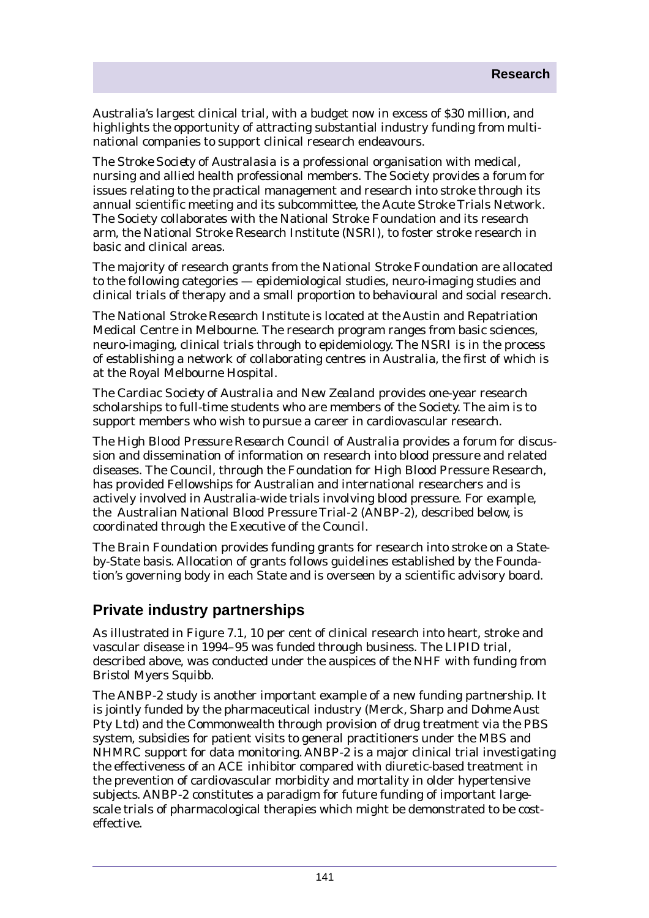Australia's largest clinical trial, with a budget now in excess of \$30 million, and highlights the opportunity of attracting substantial industry funding from multinational companies to support clinical research endeavours.

The *Stroke Society of Australasia* is a professional organisation with medical, nursing and allied health professional members. The Society provides a forum for issues relating to the practical management and research into stroke through its annual scientific meeting and its subcommittee, the Acute Stroke Trials Network. The Society collaborates with the National Stroke Foundation and its research arm, the National Stroke Research Institute (NSRI), to foster stroke research in basic and clinical areas.

The majority of research grants from the *National Stroke Foundation* are allocated to the following categories — epidemiological studies, neuro-imaging studies and clinical trials of therapy and a small proportion to behavioural and social research.

The *National Stroke Research Institute* is located at the Austin and Repatriation Medical Centre in Melbourne. The research program ranges from basic sciences, neuro-imaging, clinical trials through to epidemiology. The NSRI is in the process of establishing a network of collaborating centres in Australia, the first of which is at the Royal Melbourne Hospital.

The *Cardiac Society of Australia and New Zealand* provides one-year research scholarships to full-time students who are members of the Society. The aim is to support members who wish to pursue a career in cardiovascular research.

The *High Blood Pressure Research Council of Australia* provides a forum for discussion and dissemination of information on research into blood pressure and related diseases. The Council, through the Foundation for High Blood Pressure Research, has provided Fellowships for Australian and international researchers and is actively involved in Australia-wide trials involving blood pressure. For example, the Australian National Blood Pressure Trial-2 (ANBP-2), described below, is coordinated through the Executive of the Council.

The *Brain Foundation* provides funding grants for research into stroke on a Stateby-State basis. Allocation of grants follows guidelines established by the Foundation's governing body in each State and is overseen by a scientific advisory board.

# **Private industry partnerships**

As illustrated in Figure 7.1, 10 per cent of clinical research into heart, stroke and vascular disease in 1994–95 was funded through business. The LIPID trial, described above, was conducted under the auspices of the NHF with funding from Bristol Myers Squibb.

The ANBP-2 study is another important example of a new funding partnership. It is jointly funded by the pharmaceutical industry (Merck, Sharp and Dohme Aust Pty Ltd) and the Commonwealth through provision of drug treatment via the PBS system, subsidies for patient visits to general practitioners under the MBS and NHMRC support for data monitoring. ANBP-2 is a major clinical trial investigating the effectiveness of an ACE inhibitor compared with diuretic-based treatment in the prevention of cardiovascular morbidity and mortality in older hypertensive subjects. ANBP-2 constitutes a paradigm for future funding of important largescale trials of pharmacological therapies which might be demonstrated to be costeffective.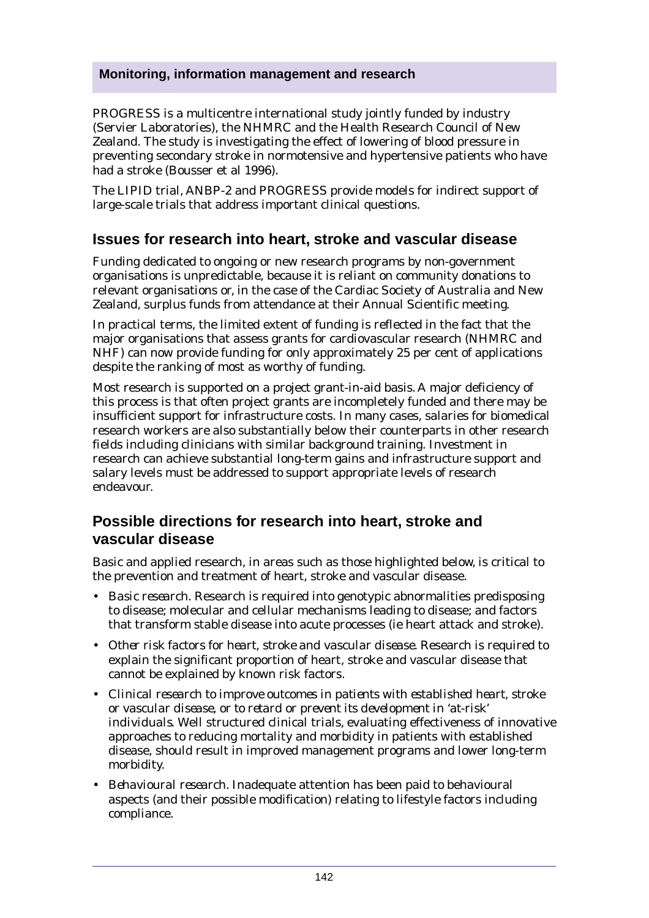PROGRESS is a multicentre international study jointly funded by industry (Servier Laboratories), the NHMRC and the Health Research Council of New Zealand. The study is investigating the effect of lowering of blood pressure in preventing secondary stroke in normotensive and hypertensive patients who have had a stroke (Bousser et al 1996).

The LIPID trial, ANBP-2 and PROGRESS provide models for indirect support of large-scale trials that address important clinical questions.

## **Issues for research into heart, stroke and vascular disease**

Funding dedicated to ongoing or new research programs by non-government organisations is unpredictable, because it is reliant on community donations to relevant organisations or, in the case of the Cardiac Society of Australia and New Zealand, surplus funds from attendance at their Annual Scientific meeting.

In practical terms, the limited extent of funding is reflected in the fact that the major organisations that assess grants for cardiovascular research (NHMRC and NHF) can now provide funding for only approximately 25 per cent of applications despite the ranking of most as worthy of funding.

Most research is supported on a project grant-in-aid basis. A major deficiency of this process is that often project grants are incompletely funded and there may be insufficient support for infrastructure costs. In many cases, salaries for biomedical research workers are also substantially below their counterparts in other research fields including clinicians with similar background training. Investment in research can achieve substantial long-term gains and infrastructure support and salary levels must be addressed to support appropriate levels of research endeavour.

## **Possible directions for research into heart, stroke and vascular disease**

Basic and applied research, in areas such as those highlighted below, is critical to the prevention and treatment of heart, stroke and vascular disease.

- *Basic research.* Research is required into genotypic abnormalities predisposing to disease; molecular and cellular mechanisms leading to disease; and factors that transform stable disease into acute processes (ie heart attack and stroke).
- *Other risk factors for heart, stroke and vascular disease.* Research is required to explain the significant proportion of heart, stroke and vascular disease that cannot be explained by known risk factors.
- *Clinical research to improve outcomes in patients with established heart, stroke or vascular disease, or to retard or prevent its development in 'at-risk' individuals.* Well structured clinical trials, evaluating effectiveness of innovative approaches to reducing mortality and morbidity in patients with established disease, should result in improved management programs and lower long-term morbidity.
- *Behavioural research.* Inadequate attention has been paid to behavioural aspects (and their possible modification) relating to lifestyle factors including compliance.